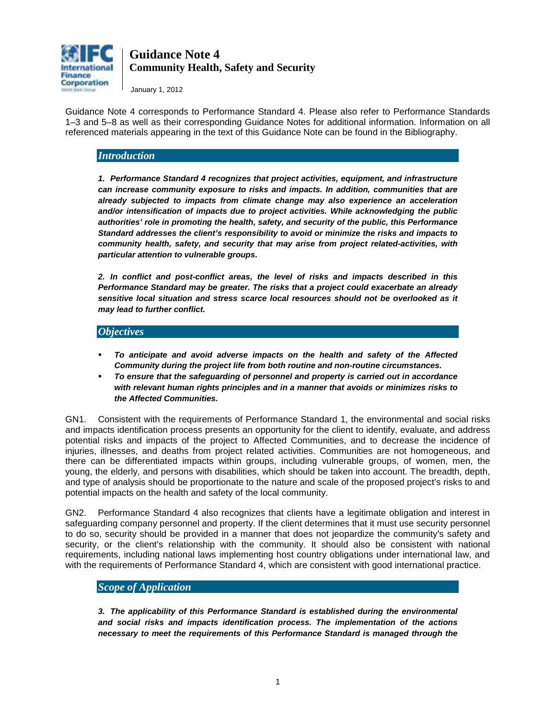

January 1, 2012

Guidance Note 4 corresponds to Performance Standard 4. Please also refer to Performance Standards 1–3 and 5–8 as well as their corresponding Guidance Notes for additional information. Information on all referenced materials appearing in the text of this Guidance Note can be found in the Bibliography.

### *Introduction*

*1. Performance Standard 4 recognizes that project activities, equipment, and infrastructure can increase community exposure to risks and impacts. In addition, communities that are already subjected to impacts from climate change may also experience an acceleration and/or intensification of impacts due to project activities. While acknowledging the public authorities' role in promoting the health, safety, and security of the public, this Performance Standard addresses the client's responsibility to avoid or minimize the risks and impacts to community health, safety, and security that may arise from project related-activities, with particular attention to vulnerable groups.* 

*2. In conflict and post-conflict areas, the level of risks and impacts described in this Performance Standard may be greater. The risks that a project could exacerbate an already sensitive local situation and stress scarce local resources should not be overlooked as it may lead to further conflict.* 

#### *Objectives*

- *To anticipate and avoid adverse impacts on the health and safety of the Affected Community during the project life from both routine and non-routine circumstances.*
- *To ensure that the safeguarding of personnel and property is carried out in accordance with relevant human rights principles and in a manner that avoids or minimizes risks to the Affected Communities.*

GN1. Consistent with the requirements of Performance Standard 1, the environmental and social risks and impacts identification process presents an opportunity for the client to identify, evaluate, and address potential risks and impacts of the project to Affected Communities, and to decrease the incidence of injuries, illnesses, and deaths from project related activities. Communities are not homogeneous, and there can be differentiated impacts within groups, including vulnerable groups, of women, men, the young, the elderly, and persons with disabilities, which should be taken into account. The breadth, depth, and type of analysis should be proportionate to the nature and scale of the proposed project's risks to and potential impacts on the health and safety of the local community.

GN2. Performance Standard 4 also recognizes that clients have a legitimate obligation and interest in safeguarding company personnel and property. If the client determines that it must use security personnel to do so, security should be provided in a manner that does not jeopardize the community's safety and security, or the client's relationship with the community. It should also be consistent with national requirements, including national laws implementing host country obligations under international law, and with the requirements of Performance Standard 4, which are consistent with good international practice.

### *Scope of Application*

*3. The applicability of this Performance Standard is established during the environmental and social risks and impacts identification process. The implementation of the actions necessary to meet the requirements of this Performance Standard is managed through the*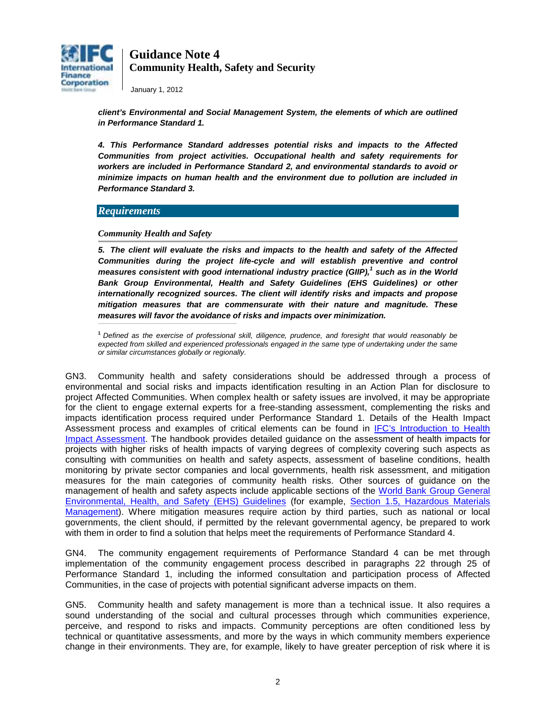

January 1, 2012

*client's Environmental and Social Management System, the elements of which are outlined in Performance Standard 1.* 

*4. This Performance Standard addresses potential risks and impacts to the Affected Communities from project activities. Occupational health and safety requirements for workers are included in Performance Standard 2, and environmental standards to avoid or minimize impacts on human health and the environment due to pollution are included in Performance Standard 3.* 

#### *Requirements*

#### *Community Health and Safety*

*5. The client will evaluate the risks and impacts to the health and safety of the Affected Communities during the project life-cycle and will establish preventive and control measures consistent with good international industry practice (GIIP),<sup>1</sup> such as in the World Bank Group Environmental, Health and Safety Guidelines (EHS Guidelines) or other internationally recognized sources. The client will identify risks and impacts and propose mitigation measures that are commensurate with their nature and magnitude. These measures will favor the avoidance of risks and impacts over minimization.* **\_\_\_\_\_\_\_\_\_\_\_\_\_\_\_\_\_\_\_\_\_\_\_\_\_\_\_\_\_\_\_\_\_\_\_\_\_\_\_\_\_\_\_\_\_\_\_\_\_\_\_\_\_\_\_**

**<sup>1</sup>***Defined as the exercise of professional skill, diligence, prudence, and foresight that would reasonably be expected from skilled and experienced professionals engaged in the same type of undertaking under the same or similar circumstances globally or regionally.*

GN3. Community health and safety considerations should be addressed through a process of environmental and social risks and impacts identification resulting in an Action Plan for disclosure to project Affected Communities. When complex health or safety issues are involved, it may be appropriate for the client to engage external experts for a free-standing assessment, complementing the risks and impacts identification process required under Performance Standard 1. Details of the Health Impact Assessment process and examples of critical elements can be found in [IFC's Introduction to Health](http://www1.ifc.org/wps/wcm/connect/Topics_ext_content/ifc_external_corporate_site/IFC%20Sustainability/Publications/Publications_Handbook_HealthImpactAssessment__WCI__1319578475704?id=8fcfe50048d2f6259ab2bf4b02f32852&WCM_Page.ResetAll=TRUE&CACHE=NONE&CONT)  [Impact Assessment.](http://www1.ifc.org/wps/wcm/connect/Topics_ext_content/ifc_external_corporate_site/IFC%20Sustainability/Publications/Publications_Handbook_HealthImpactAssessment__WCI__1319578475704?id=8fcfe50048d2f6259ab2bf4b02f32852&WCM_Page.ResetAll=TRUE&CACHE=NONE&CONT) The handbook provides detailed guidance on the assessment of health impacts for projects with higher risks of health impacts of varying degrees of complexity covering such aspects as consulting with communities on health and safety aspects, assessment of baseline conditions, health monitoring by private sector companies and local governments, health risk assessment, and mitigation measures for the main categories of community health risks. Other sources of guidance on the management of health and safety aspects include applicable sections of the [World Bank Group General](http://www1.ifc.org/wps/wcm/connect/topics_ext_content/ifc_external_corporate_site/ifc+sustainability/risk+management/sustainability+framework/sustainability+framework+-+2006/environmental%2C+health%2C+and+safety+guidelines/ehsguidelines)  [Environmental, Health, and Safety \(EHS\) Guidelines](http://www1.ifc.org/wps/wcm/connect/topics_ext_content/ifc_external_corporate_site/ifc+sustainability/risk+management/sustainability+framework/sustainability+framework+-+2006/environmental%2C+health%2C+and+safety+guidelines/ehsguidelines) (for example, [Section 1.5, Hazardous Materials](http://www1.ifc.org/wps/wcm/connect/47d9ca8048865834b4a6f66a6515bb18/1-5%2BHazardous%2BMaterials%2BManagement.pdf?MOD=AJPERES)  [Management\)](http://www1.ifc.org/wps/wcm/connect/47d9ca8048865834b4a6f66a6515bb18/1-5%2BHazardous%2BMaterials%2BManagement.pdf?MOD=AJPERES). Where mitigation measures require action by third parties, such as national or local governments, the client should, if permitted by the relevant governmental agency, be prepared to work with them in order to find a solution that helps meet the requirements of Performance Standard 4.

GN4. The community engagement requirements of Performance Standard 4 can be met through implementation of the community engagement process described in paragraphs 22 through 25 of Performance Standard 1, including the informed consultation and participation process of Affected Communities, in the case of projects with potential significant adverse impacts on them.

GN5. Community health and safety management is more than a technical issue. It also requires a sound understanding of the social and cultural processes through which communities experience, perceive, and respond to risks and impacts. Community perceptions are often conditioned less by technical or quantitative assessments, and more by the ways in which community members experience change in their environments. They are, for example, likely to have greater perception of risk where it is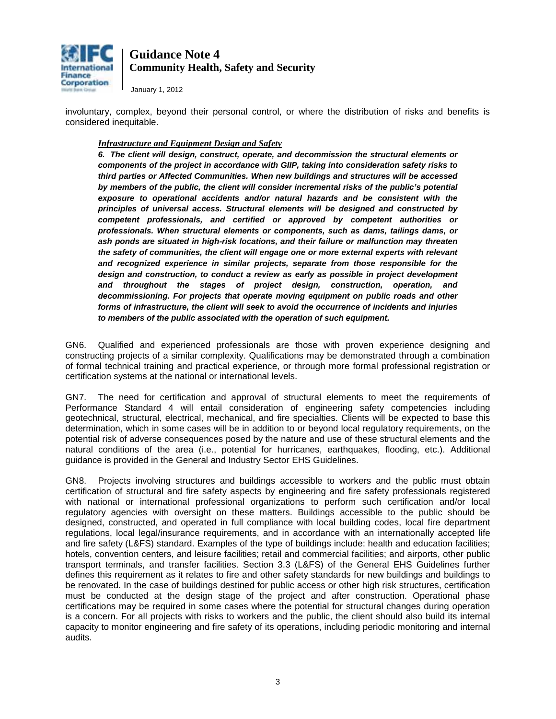

January 1, 2012

involuntary, complex, beyond their personal control, or where the distribution of risks and benefits is considered inequitable.

#### *Infrastructure and Equipment Design and Safety*

*6. The client will design, construct, operate, and decommission the structural elements or components of the project in accordance with GIIP, taking into consideration safety risks to third parties or Affected Communities. When new buildings and structures will be accessed by members of the public, the client will consider incremental risks of the public's potential exposure to operational accidents and/or natural hazards and be consistent with the principles of universal access. Structural elements will be designed and constructed by competent professionals, and certified or approved by competent authorities or professionals. When structural elements or components, such as dams, tailings dams, or ash ponds are situated in high-risk locations, and their failure or malfunction may threaten the safety of communities, the client will engage one or more external experts with relevant and recognized experience in similar projects, separate from those responsible for the design and construction, to conduct a review as early as possible in project development and throughout the stages of project design, construction, operation, and decommissioning. For projects that operate moving equipment on public roads and other forms of infrastructure, the client will seek to avoid the occurrence of incidents and injuries to members of the public associated with the operation of such equipment.* 

GN6. Qualified and experienced professionals are those with proven experience designing and constructing projects of a similar complexity. Qualifications may be demonstrated through a combination of formal technical training and practical experience, or through more formal professional registration or certification systems at the national or international levels.

GN7. The need for certification and approval of structural elements to meet the requirements of Performance Standard 4 will entail consideration of engineering safety competencies including geotechnical, structural, electrical, mechanical, and fire specialties. Clients will be expected to base this determination, which in some cases will be in addition to or beyond local regulatory requirements, on the potential risk of adverse consequences posed by the nature and use of these structural elements and the natural conditions of the area (i.e., potential for hurricanes, earthquakes, flooding, etc.). Additional guidance is provided in the [General and Industry Sector EHS Guidelines.](http://ifchq14.ifc.org/ifcext/enviro.nsf/Content/F067BEBE3AF7995E85256D87005087E9?OpenDocument)

GN8. Projects involving structures and buildings accessible to workers and the public must obtain certification of structural and fire safety aspects by engineering and fire safety professionals registered with national or international professional organizations to perform such certification and/or local regulatory agencies with oversight on these matters. Buildings accessible to the public should be designed, constructed, and operated in full compliance with local building codes, local fire department regulations, local legal/insurance requirements, and in accordance with an internationally accepted life and fire safety (L&FS) standard. Examples of the type of buildings include: health and education facilities; hotels, convention centers, and leisure facilities; retail and commercial facilities; and airports, other public transport terminals, and transfer facilities. Section 3.3 (L&FS) of the General EHS Guidelines further defines this requirement as it relates to fire and other safety standards for new buildings and buildings to be renovated. In the case of buildings destined for public access or other high risk structures, certification must be conducted at the design stage of the project and after construction. Operational phase certifications may be required in some cases where the potential for structural changes during operation is a concern. For all projects with risks to workers and the public, the client should also build its internal capacity to monitor engineering and fire safety of its operations, including periodic monitoring and internal audits.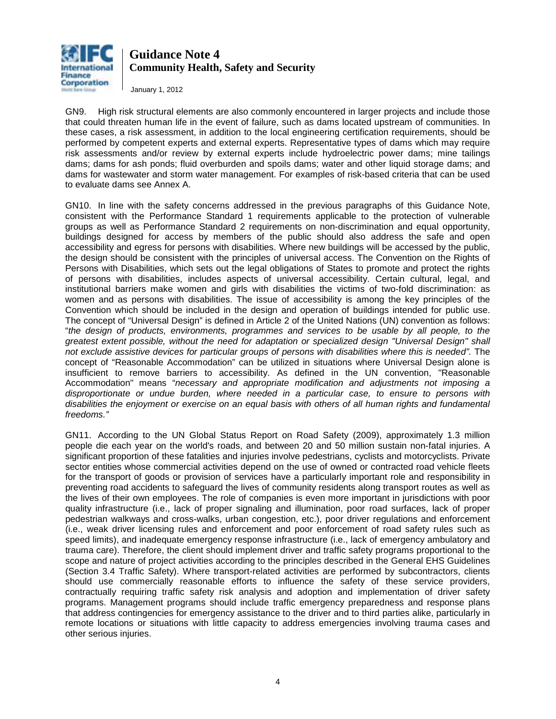

January 1, 2012

GN9. High risk structural elements are also commonly encountered in larger projects and include those that could threaten human life in the event of failure, such as dams located upstream of communities. In these cases, a risk assessment, in addition to the local engineering certification requirements, should be performed by competent experts and external experts. Representative types of dams which may require risk assessments and/or review by external experts include hydroelectric power dams; mine tailings dams; dams for ash ponds; fluid overburden and spoils dams; water and other liquid storage dams; and dams for wastewater and storm water management. For examples of risk-based criteria that can be used to evaluate dams see Annex A.

GN10. In line with the safety concerns addressed in the previous paragraphs of this Guidance Note, consistent with the Performance Standard 1 requirements applicable to the protection of vulnerable groups as well as Performance Standard 2 requirements on non-discrimination and equal opportunity, buildings designed for access by members of the public should also address the safe and open accessibility and egress for persons with disabilities. Where new buildings will be accessed by the public, the design should be consistent with the principles of universal access. The Convention on the Rights of Persons with Disabilities, which sets out the legal obligations of States to promote and protect the rights of persons with disabilities, includes aspects of universal accessibility. Certain cultural, legal, and institutional barriers make women and girls with disabilities the victims of two-fold discrimination: as women and as persons with disabilities. The issue of accessibility is among the key principles of the Convention which should be included in the design and operation of buildings intended for public use. The concept of "Universal Design" is defined in Article 2 of the United Nations (UN) convention as follows: "*the design of products, environments, programmes and services to be usable by all people, to the greatest extent possible, without the need for adaptation or specialized design "Universal Design" shall not exclude assistive devices for particular groups of persons with disabilities where this is needed".* The concept of "Reasonable Accommodation" can be utilized in situations where Universal Design alone is insufficient to remove barriers to accessibility. As defined in the UN convention, "Reasonable Accommodation" means "*necessary and appropriate modification and adjustments not imposing a disproportionate or undue burden, where needed in a particular case, to ensure to persons with disabilities the enjoyment or exercise on an equal basis with others of all human rights and fundamental freedoms."* 

GN11. According to the UN Global Status Report on Road Safety (2009), approximately 1.3 million people die each year on the world's roads, and between 20 and 50 million sustain non-fatal injuries. A significant proportion of these fatalities and injuries involve pedestrians, cyclists and motorcyclists. Private sector entities whose commercial activities depend on the use of owned or contracted road vehicle fleets for the transport of goods or provision of services have a particularly important role and responsibility in preventing road accidents to safeguard the lives of community residents along transport routes as well as the lives of their own employees. The role of companies is even more important in jurisdictions with poor quality infrastructure (i.e., lack of proper signaling and illumination, poor road surfaces, lack of proper pedestrian walkways and cross-walks, urban congestion, etc.), poor driver regulations and enforcement (i.e., weak driver licensing rules and enforcement and poor enforcement of road safety rules such as speed limits), and inadequate emergency response infrastructure (i.e., lack of emergency ambulatory and trauma care). Therefore, the client should implement driver and traffic safety programs proportional to the scope and nature of project activities according to the principles described in the General EHS Guidelines (Section 3.4 Traffic Safety). Where transport-related activities are performed by subcontractors, clients should use commercially reasonable efforts to influence the safety of these service providers, contractually requiring traffic safety risk analysis and adoption and implementation of driver safety programs. Management programs should include traffic emergency preparedness and response plans that address contingencies for emergency assistance to the driver and to third parties alike, particularly in remote locations or situations with little capacity to address emergencies involving trauma cases and other serious injuries.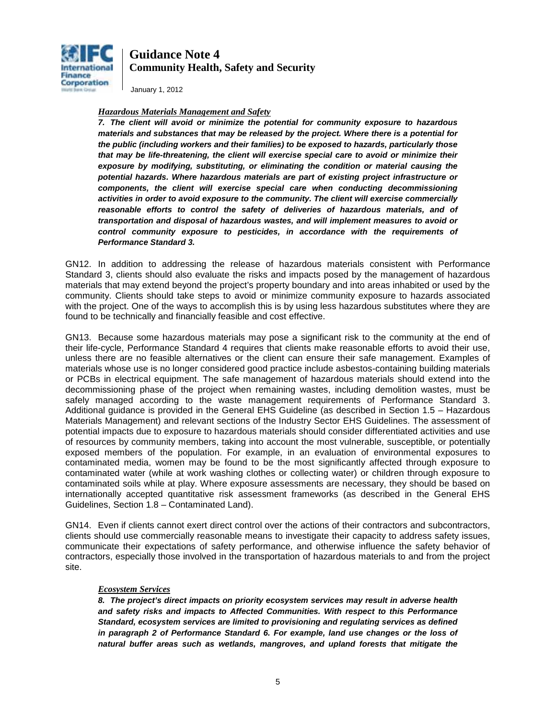

January 1, 2012

#### *Hazardous Materials Management and Safety*

*7. The client will avoid or minimize the potential for community exposure to hazardous materials and substances that may be released by the project. Where there is a potential for the public (including workers and their families) to be exposed to hazards, particularly those that may be life-threatening, the client will exercise special care to avoid or minimize their exposure by modifying, substituting, or eliminating the condition or material causing the potential hazards. Where hazardous materials are part of existing project infrastructure or components, the client will exercise special care when conducting decommissioning activities in order to avoid exposure to the community. The client will exercise commercially*  reasonable efforts to control the safety of deliveries of hazardous materials, and of *transportation and disposal of hazardous wastes, and will implement measures to avoid or control community exposure to pesticides, in accordance with the requirements of Performance Standard 3.* 

GN12. In addition to addressing the release of hazardous materials consistent with Performance Standard 3, clients should also evaluate the risks and impacts posed by the management of hazardous materials that may extend beyond the project's property boundary and into areas inhabited or used by the community. Clients should take steps to avoid or minimize community exposure to hazards associated with the project. One of the ways to accomplish this is by using less hazardous substitutes where they are found to be technically and financially feasible and cost effective.

GN13. Because some hazardous materials may pose a significant risk to the community at the end of their life-cycle, Performance Standard 4 requires that clients make reasonable efforts to avoid their use, unless there are no feasible alternatives or the client can ensure their safe management. Examples of materials whose use is no longer considered good practice include asbestos-containing building materials or PCBs in electrical equipment. The safe management of hazardous materials should extend into the decommissioning phase of the project when remaining wastes, including demolition wastes, must be safely managed according to the waste management requirements of Performance Standard 3. Additional guidance is provided in the General EHS Guideline [\(as described in Section 1.5 – Hazardous](http://ifchq14.ifc.org/ifcext/enviro.nsf/Content/F067BEBE3AF7995E85256D87005087E9?OpenDocument)  Materials Management) [and relevant sections of the Industry Sector EHS Guidelines.](http://ifchq14.ifc.org/ifcext/enviro.nsf/Content/F067BEBE3AF7995E85256D87005087E9?OpenDocument) The assessment of potential impacts due to exposure to hazardous materials should consider differentiated activities and use of resources by community members, taking into account the most vulnerable, susceptible, or potentially exposed members of the population. For example, in an evaluation of environmental exposures to contaminated media, women may be found to be the most significantly affected through exposure to contaminated water (while at work washing clothes or collecting water) or children through exposure to contaminated soils while at play. Where exposure assessments are necessary, they should be based on internationally accepted quantitative risk assessment frameworks (as described in the General EHS Guidelines, Section 1.8 – Contaminated Land).

GN14. Even if clients cannot exert direct control over the actions of their contractors and subcontractors, clients should use commercially reasonable means to investigate their capacity to address safety issues, communicate their expectations of safety performance, and otherwise influence the safety behavior of contractors, especially those involved in the transportation of hazardous materials to and from the project site.

#### *Ecosystem Services*

*8. The project's direct impacts on priority ecosystem services may result in adverse health and safety risks and impacts to Affected Communities. With respect to this Performance Standard, ecosystem services are limited to provisioning and regulating services as defined in paragraph 2 of Performance Standard 6. For example, land use changes or the loss of natural buffer areas such as wetlands, mangroves, and upland forests that mitigate the*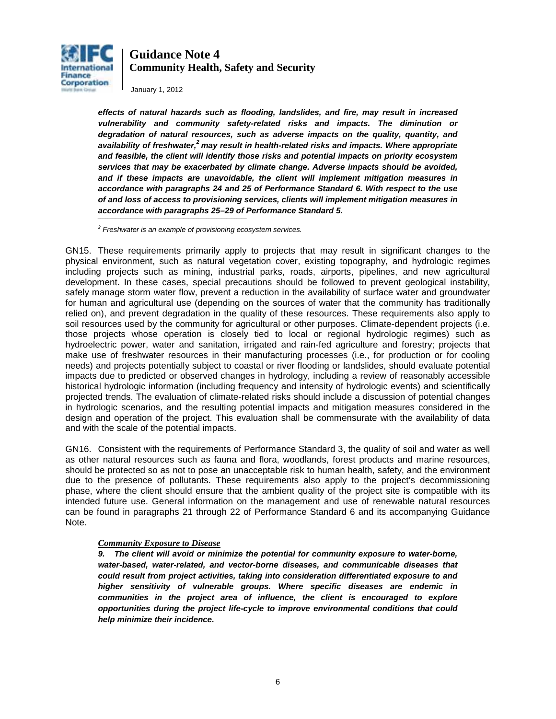

January 1, 2012

*effects of natural hazards such as flooding, landslides, and fire, may result in increased vulnerability and community safety-related risks and impacts. The diminution or degradation of natural resources, such as adverse impacts on the quality, quantity, and availability of freshwater,2 may result in health-related risks and impacts. Where appropriate and feasible, the client will identify those risks and potential impacts on priority ecosystem services that may be exacerbated by climate change. Adverse impacts should be avoided, and if these impacts are unavoidable, the client will implement mitigation measures in accordance with paragraphs 24 and 25 of Performance Standard 6. With respect to the use of and loss of access to provisioning services, clients will implement mitigation measures in accordance with paragraphs 25–29 of Performance Standard 5. \_\_\_\_\_\_\_\_\_\_\_\_\_\_\_\_\_\_\_\_\_\_\_\_\_\_\_\_\_\_\_\_\_\_\_\_\_\_\_\_\_\_\_\_\_\_\_\_\_\_\_\_\_\_\_\_\_\_\_*

*<sup>2</sup> Freshwater is an example of provisioning ecosystem services.* 

GN15. These requirements primarily apply to projects that may result in significant changes to the physical environment, such as natural vegetation cover, existing topography, and hydrologic regimes including projects such as mining, industrial parks, roads, airports, pipelines, and new agricultural development. In these cases, special precautions should be followed to prevent geological instability, safely manage storm water flow, prevent a reduction in the availability of surface water and groundwater for human and agricultural use (depending on the sources of water that the community has traditionally relied on), and prevent degradation in the quality of these resources. These requirements also apply to soil resources used by the community for agricultural or other purposes. Climate-dependent projects (i.e. those projects whose operation is closely tied to local or regional hydrologic regimes) such as hydroelectric power, water and sanitation, irrigated and rain-fed agriculture and forestry; projects that make use of freshwater resources in their manufacturing processes (i.e., for production or for cooling needs) and projects potentially subject to coastal or river flooding or landslides, should evaluate potential impacts due to predicted or observed changes in hydrology, including a review of reasonably accessible historical hydrologic information (including frequency and intensity of hydrologic events) and scientifically projected trends. The evaluation of climate-related risks should include a discussion of potential changes in hydrologic scenarios, and the resulting potential impacts and mitigation measures considered in the design and operation of the project. This evaluation shall be commensurate with the availability of data and with the scale of the potential impacts.

GN16. Consistent with the requirements of Performance Standard 3, the quality of soil and water as well as other natural resources such as fauna and flora, woodlands, forest products and marine resources, should be protected so as not to pose an unacceptable risk to human health, safety, and the environment due to the presence of pollutants. These requirements also apply to the project's decommissioning phase, where the client should ensure that the ambient quality of the project site is compatible with its intended future use. General information on the management and use of renewable natural resources can be found in paragraphs 21 through 22 of Performance Standard 6 and its accompanying Guidance Note.

#### *Community Exposure to Disease*

*9. The client will avoid or minimize the potential for community exposure to water-borne, water-based, water-related, and vector-borne diseases, and communicable diseases that could result from project activities, taking into consideration differentiated exposure to and higher sensitivity of vulnerable groups. Where specific diseases are endemic in communities in the project area of influence, the client is encouraged to explore opportunities during the project life-cycle to improve environmental conditions that could help minimize their incidence.*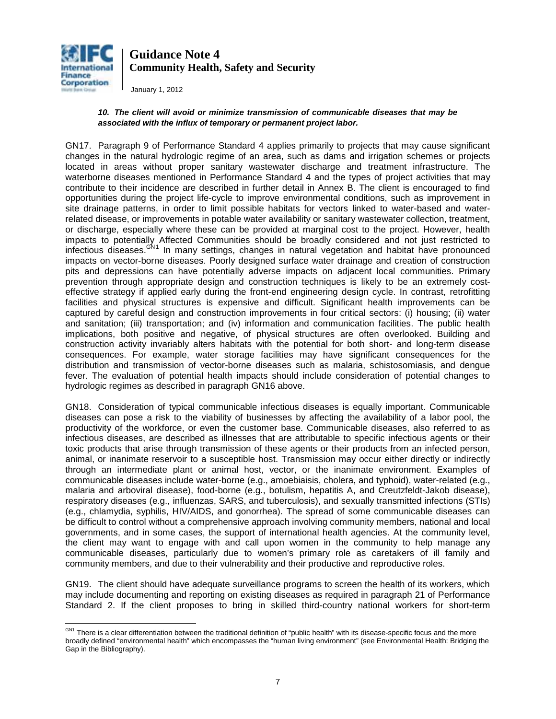

January 1, 2012

#### *10. The client will avoid or minimize transmission of communicable diseases that may be associated with the influx of temporary or permanent project labor.*

GN17. Paragraph 9 of Performance Standard 4 applies primarily to projects that may cause significant changes in the natural hydrologic regime of an area, such as dams and irrigation schemes or projects located in areas without proper sanitary wastewater discharge and treatment infrastructure. The waterborne diseases mentioned in Performance Standard 4 and the types of project activities that may contribute to their incidence are described in further detail in Annex B. The client is encouraged to find opportunities during the project life-cycle to improve environmental conditions, such as improvement in site drainage patterns, in order to limit possible habitats for vectors linked to water-based and waterrelated disease, or improvements in potable water availability or sanitary wastewater collection, treatment, or discharge, especially where these can be provided at marginal cost to the project. However, health impacts to potentially Affected Communities should be broadly considered and not just restricted to infectious diseases.<sup>GN[1](#page-6-0)</sup> In many settings, changes in natural vegetation and habitat have pronounced impacts on vector-borne diseases. Poorly designed surface water drainage and creation of construction pits and depressions can have potentially adverse impacts on adjacent local communities. Primary prevention through appropriate design and construction techniques is likely to be an extremely costeffective strategy if applied early during the front-end engineering design cycle. In contrast, retrofitting facilities and physical structures is expensive and difficult. Significant health improvements can be captured by careful design and construction improvements in four critical sectors: (i) housing; (ii) water and sanitation; (iii) transportation; and (iv) information and communication facilities. The public health implications, both positive and negative, of physical structures are often overlooked. Building and construction activity invariably alters habitats with the potential for both short- and long-term disease consequences. For example, water storage facilities may have significant consequences for the distribution and transmission of vector-borne diseases such as malaria, schistosomiasis, and dengue fever. The evaluation of potential health impacts should include consideration of potential changes to hydrologic regimes as described in paragraph GN16 above.

GN18. Consideration of typical communicable infectious diseases is equally important. Communicable diseases can pose a risk to the viability of businesses by affecting the availability of a labor pool, the productivity of the workforce, or even the customer base. Communicable diseases, also referred to as infectious diseases, are described as illnesses that are attributable to specific infectious agents or their toxic products that arise through transmission of these agents or their products from an infected person, animal, or inanimate reservoir to a susceptible host. Transmission may occur either directly or indirectly through an intermediate plant or animal host, vector, or the inanimate environment. Examples of communicable diseases include water-borne (e.g., amoebiaisis, cholera, and typhoid), water-related (e.g., malaria and arboviral disease), food-borne (e.g., botulism, hepatitis A, and Creutzfeldt-Jakob disease), respiratory diseases (e.g., influenzas, SARS, and tuberculosis), and sexually transmitted infections (STIs) (e.g., chlamydia, syphilis, HIV/AIDS, and gonorrhea). The spread of some communicable diseases can be difficult to control without a comprehensive approach involving community members, national and local governments, and in some cases, the support of international health agencies. At the community level, the client may want to engage with and call upon women in the community to help manage any communicable diseases, particularly due to women's primary role as caretakers of ill family and community members, and due to their vulnerability and their productive and reproductive roles.

GN19. The client should have adequate surveillance programs to screen the health of its workers, which may include documenting and reporting on existing diseases as required in paragraph 21 of Performance Standard 2. If the client proposes to bring in skilled third-country national workers for short-term

<span id="page-6-0"></span>GN1 There is a clear differentiation between the traditional definition of "public health" with its disease-specific focus and the more broadly defined "environmental health" which encompasses the "human living environment" (see Environmental Health: Bridging the Gap in the Bibliography).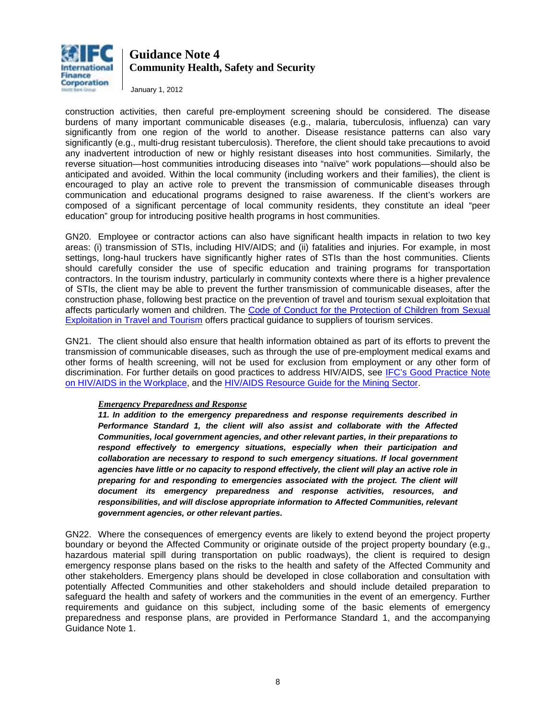

January 1, 2012

construction activities, then careful pre-employment screening should be considered. The disease burdens of many important communicable diseases (e.g., malaria, tuberculosis, influenza) can vary significantly from one region of the world to another. Disease resistance patterns can also vary significantly (e.g., multi-drug resistant tuberculosis). Therefore, the client should take precautions to avoid any inadvertent introduction of new or highly resistant diseases into host communities. Similarly, the reverse situation—host communities introducing diseases into "naïve" work populations—should also be anticipated and avoided. Within the local community (including workers and their families), the client is encouraged to play an active role to prevent the transmission of communicable diseases through communication and educational programs designed to raise awareness. If the client's workers are composed of a significant percentage of local community residents, they constitute an ideal "peer education" group for introducing positive health programs in host communities.

GN20. Employee or contractor actions can also have significant health impacts in relation to two key areas: (i) transmission of STIs, including HIV/AIDS; and (ii) fatalities and injuries. For example, in most settings, long-haul truckers have significantly higher rates of STIs than the host communities. Clients should carefully consider the use of specific education and training programs for transportation contractors. In the tourism industry, particularly in community contexts where there is a higher prevalence of STIs, the client may be able to prevent the further transmission of communicable diseases, after the construction phase, following best practice on the prevention of travel and tourism sexual exploitation that affects particularly women and children. The Code of Conduct for the Protection of Children from Sexual [Exploitation in Travel and Tourism](http://www.thecode.org/) offers practical guidance to suppliers of tourism services.

GN21. The client should also ensure that health information obtained as part of its efforts to prevent the transmission of communicable diseases, such as through the use of pre-employment medical exams and other forms of health screening, will not be used for exclusion from employment or any other form of discrimination. For further details on good practices to address HIV/AIDS, see [IFC's Good Practice Note](http://www1.ifc.org/wps/wcm/connect/topics_ext_content/ifc_external_corporate_site/ifc+sustainability/publications/publications_gpn_hivaids__wci__1319576749797)  [on HIV/AIDS in the Workplace,](http://www1.ifc.org/wps/wcm/connect/topics_ext_content/ifc_external_corporate_site/ifc+sustainability/publications/publications_gpn_hivaids__wci__1319576749797) and the HIV/AIDS Resource [Guide for the Mining Sector.](http://www1.ifc.org/wps/wcm/connect/topics_ext_content/ifc_external_corporate_site/ifc+sustainability/publications/publications_gpn_hivaids-mining)

#### *Emergency Preparedness and Response*

*11. In addition to the emergency preparedness and response requirements described in Performance Standard 1, the client will also assist and collaborate with the Affected Communities, local government agencies, and other relevant parties, in their preparations to respond effectively to emergency situations, especially when their participation and collaboration are necessary to respond to such emergency situations. If local government agencies have little or no capacity to respond effectively, the client will play an active role in preparing for and responding to emergencies associated with the project. The client will document its emergency preparedness and response activities, resources, and responsibilities, and will disclose appropriate information to Affected Communities, relevant government agencies, or other relevant parties.* 

GN22. Where the consequences of emergency events are likely to extend beyond the project property boundary or beyond the Affected Community or originate outside of the project property boundary (e.g., hazardous material spill during transportation on public roadways), the client is required to design emergency response plans based on the risks to the health and safety of the Affected Community and other stakeholders. Emergency plans should be developed in close collaboration and consultation with potentially Affected Communities and other stakeholders and should include detailed preparation to safeguard the health and safety of workers and the communities in the event of an emergency. Further requirements and guidance on this subject, including some of the basic elements of emergency preparedness and response plans, are provided in Performance Standard 1, and the accompanying Guidance Note 1.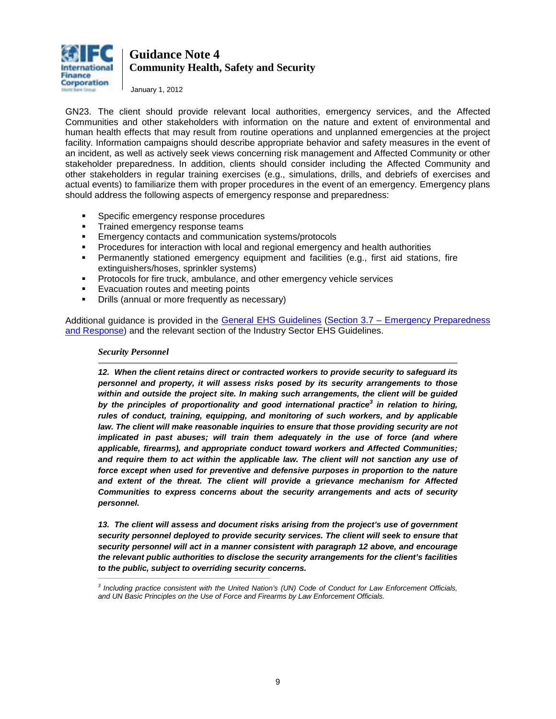

January 1, 2012

GN23. The client should provide relevant local authorities, emergency services, and the Affected Communities and other stakeholders with information on the nature and extent of environmental and human health effects that may result from routine operations and unplanned emergencies at the project facility. Information campaigns should describe appropriate behavior and safety measures in the event of an incident, as well as actively seek views concerning risk management and Affected Community or other stakeholder preparedness. In addition, clients should consider including the Affected Community and other stakeholders in regular training exercises (e.g., simulations, drills, and debriefs of exercises and actual events) to familiarize them with proper procedures in the event of an emergency. Emergency plans should address the following aspects of emergency response and preparedness:

- Specific emergency response procedures
- **Trained emergency response teams**
- **Emergency contacts and communication systems/protocols**
- Procedures for interaction with local and regional emergency and health authorities
- Permanently stationed emergency equipment and facilities (e.g., first aid stations, fire extinguishers/hoses, sprinkler systems)
- Protocols for fire truck, ambulance, and other emergency vehicle services
- Evacuation routes and meeting points
- **•** Drills (annual or more frequently as necessary)

*\_\_\_\_\_\_\_\_\_\_\_\_\_\_\_\_\_\_\_\_\_\_\_\_\_\_\_\_\_\_\_\_\_\_\_\_\_\_\_\_\_\_\_\_\_\_\_\_\_\_\_\_\_\_\_\_\_*

Additional guidance is provided in the [General EHS Guidelines](http://www1.ifc.org/wps/wcm/connect/topics_ext_content/ifc_external_corporate_site/ifc+sustainability/risk+management/sustainability+framework/sustainability+framework+-+2006/environmental%2C+health%2C+and+safety+guidelines/ehsguidelines) [\(Section 3.7 – Emergency Preparedness](http://www1.ifc.org/wps/wcm/connect/dd673400488559ae83c4d36a6515bb18/3%2BCommunity%2BHealth%2Band%2BSafety.pdf?MOD=AJPERES)  [and Response\)](http://www1.ifc.org/wps/wcm/connect/dd673400488559ae83c4d36a6515bb18/3%2BCommunity%2BHealth%2Band%2BSafety.pdf?MOD=AJPERES) and the relevant section of the Industry Sector EHS Guidelines.

#### *Security Personnel*

*12. When the client retains direct or contracted workers to provide security to safeguard its personnel and property, it will assess risks posed by its security arrangements to those within and outside the project site. In making such arrangements, the client will be guided by the principles of proportionality and good international practice<sup>3</sup> in relation to hiring, rules of conduct, training, equipping, and monitoring of such workers, and by applicable law. The client will make reasonable inquiries to ensure that those providing security are not implicated in past abuses; will train them adequately in the use of force (and where applicable, firearms), and appropriate conduct toward workers and Affected Communities;*  and require them to act within the applicable law. The client will not sanction any use of force except when used for preventive and defensive purposes in proportion to the nature *and extent of the threat. The client will provide a grievance mechanism for Affected Communities to express concerns about the security arrangements and acts of security personnel.* 

*13. The client will assess and document risks arising from the project's use of government security personnel deployed to provide security services. The client will seek to ensure that security personnel will act in a manner consistent with paragraph 12 above, and encourage the relevant public authorities to disclose the security arrangements for the client's facilities to the public, subject to overriding security concerns.*

*<sup>3</sup> Including practice consistent with the United Nation's (UN) Code of Conduct for Law Enforcement Officials, and UN Basic Principles on the Use of Force and Firearms by Law Enforcement Officials.*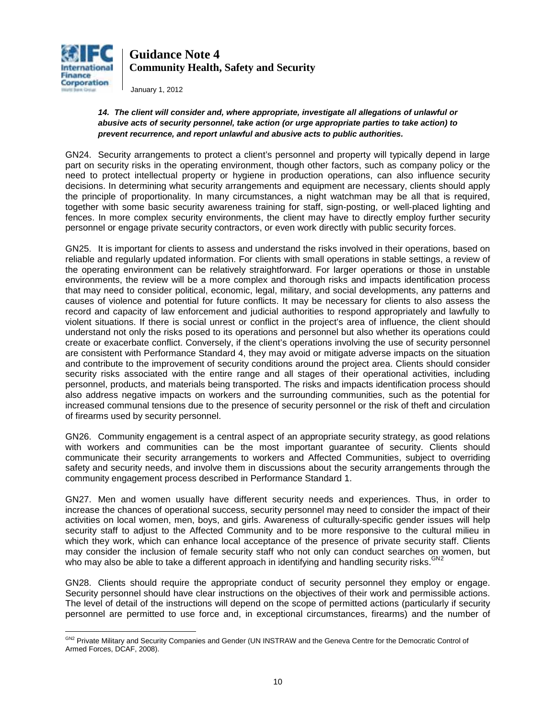

January 1, 2012

#### *14. The client will consider and, where appropriate, investigate all allegations of unlawful or abusive acts of security personnel, take action (or urge appropriate parties to take action) to prevent recurrence, and report unlawful and abusive acts to public authorities.*

GN24. Security arrangements to protect a client's personnel and property will typically depend in large part on security risks in the operating environment, though other factors, such as company policy or the need to protect intellectual property or hygiene in production operations, can also influence security decisions. In determining what security arrangements and equipment are necessary, clients should apply the principle of proportionality. In many circumstances, a night watchman may be all that is required, together with some basic security awareness training for staff, sign-posting, or well-placed lighting and fences. In more complex security environments, the client may have to directly employ further security personnel or engage private security contractors, or even work directly with public security forces.

GN25. It is important for clients to assess and understand the risks involved in their operations, based on reliable and regularly updated information. For clients with small operations in stable settings, a review of the operating environment can be relatively straightforward. For larger operations or those in unstable environments, the review will be a more complex and thorough risks and impacts identification process that may need to consider political, economic, legal, military, and social developments, any patterns and causes of violence and potential for future conflicts. It may be necessary for clients to also assess the record and capacity of law enforcement and judicial authorities to respond appropriately and lawfully to violent situations. If there is social unrest or conflict in the project's area of influence, the client should understand not only the risks posed to its operations and personnel but also whether its operations could create or exacerbate conflict. Conversely, if the client's operations involving the use of security personnel are consistent with Performance Standard 4, they may avoid or mitigate adverse impacts on the situation and contribute to the improvement of security conditions around the project area. Clients should consider security risks associated with the entire range and all stages of their operational activities, including personnel, products, and materials being transported. The risks and impacts identification process should also address negative impacts on workers and the surrounding communities, such as the potential for increased communal tensions due to the presence of security personnel or the risk of theft and circulation of firearms used by security personnel.

GN26. Community engagement is a central aspect of an appropriate security strategy, as good relations with workers and communities can be the most important guarantee of security. Clients should communicate their security arrangements to workers and Affected Communities, subject to overriding safety and security needs, and involve them in discussions about the security arrangements through the community engagement process described in Performance Standard 1.

GN27. Men and women usually have different security needs and experiences. Thus, in order to increase the chances of operational success, security personnel may need to consider the impact of their activities on local women, men, boys, and girls. Awareness of culturally-specific gender issues will help security staff to adjust to the Affected Community and to be more responsive to the cultural milieu in which they work, which can enhance local acceptance of the presence of private security staff. Clients may consider the inclusion of female security staff who not only can conduct searches on women, but may be obled to take a different encrease in identifying and bandling acqurity rights  $^{GN2}$  $^{GN2}$  $^{GN2}$ who may also be able to take a different approach in identifying and handling security risks.

GN28. Clients should require the appropriate conduct of security personnel they employ or engage. Security personnel should have clear instructions on the objectives of their work and permissible actions. The level of detail of the instructions will depend on the scope of permitted actions (particularly if security personnel are permitted to use force and, in exceptional circumstances, firearms) and the number of

 $\overline{a}$ <sup>GN2</sup> Private Military and Security Companies and Gender (UN INSTRAW and the Geneva Centre for the Democratic Control of Armed Forces, DCAF, 2008).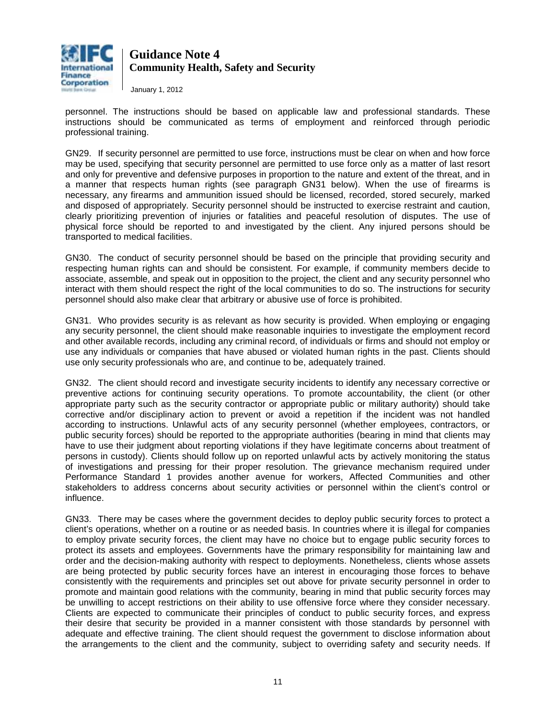

January 1, 2012

personnel. The instructions should be based on applicable law and professional standards. These instructions should be communicated as terms of employment and reinforced through periodic professional training.

GN29. If security personnel are permitted to use force, instructions must be clear on when and how force may be used, specifying that security personnel are permitted to use force only as a matter of last resort and only for preventive and defensive purposes in proportion to the nature and extent of the threat, and in a manner that respects human rights (see paragraph GN31 below). When the use of firearms is necessary, any firearms and ammunition issued should be licensed, recorded, stored securely, marked and disposed of appropriately. Security personnel should be instructed to exercise restraint and caution, clearly prioritizing prevention of injuries or fatalities and peaceful resolution of disputes. The use of physical force should be reported to and investigated by the client. Any injured persons should be transported to medical facilities.

GN30. The conduct of security personnel should be based on the principle that providing security and respecting human rights can and should be consistent. For example, if community members decide to associate, assemble, and speak out in opposition to the project, the client and any security personnel who interact with them should respect the right of the local communities to do so. The instructions for security personnel should also make clear that arbitrary or abusive use of force is prohibited.

GN31. Who provides security is as relevant as how security is provided. When employing or engaging any security personnel, the client should make reasonable inquiries to investigate the employment record and other available records, including any criminal record, of individuals or firms and should not employ or use any individuals or companies that have abused or violated human rights in the past. Clients should use only security professionals who are, and continue to be, adequately trained.

GN32. The client should record and investigate security incidents to identify any necessary corrective or preventive actions for continuing security operations. To promote accountability, the client (or other appropriate party such as the security contractor or appropriate public or military authority) should take corrective and/or disciplinary action to prevent or avoid a repetition if the incident was not handled according to instructions. Unlawful acts of any security personnel (whether employees, contractors, or public security forces) should be reported to the appropriate authorities (bearing in mind that clients may have to use their judgment about reporting violations if they have legitimate concerns about treatment of persons in custody). Clients should follow up on reported unlawful acts by actively monitoring the status of investigations and pressing for their proper resolution. The grievance mechanism required under Performance Standard 1 provides another avenue for workers, Affected Communities and other stakeholders to address concerns about security activities or personnel within the client's control or influence.

<span id="page-10-0"></span>GN33. There may be cases where the government decides to deploy public security forces to protect a client's operations, whether on a routine or as needed basis. In countries where it is illegal for companies to employ private security forces, the client may have no choice but to engage public security forces to protect its assets and employees. Governments have the primary responsibility for maintaining law and order and the decision-making authority with respect to deployments. Nonetheless, clients whose assets are being protected by public security forces have an interest in encouraging those forces to behave consistently with the requirements and principles set out above for private security personnel in order to promote and maintain good relations with the community, bearing in mind that public security forces may be unwilling to accept restrictions on their ability to use offensive force where they consider necessary. Clients are expected to communicate their principles of conduct to public security forces, and express their desire that security be provided in a manner consistent with those standards by personnel with adequate and effective training. The client should request the government to disclose information about the arrangements to the client and the community, subject to overriding safety and security needs. If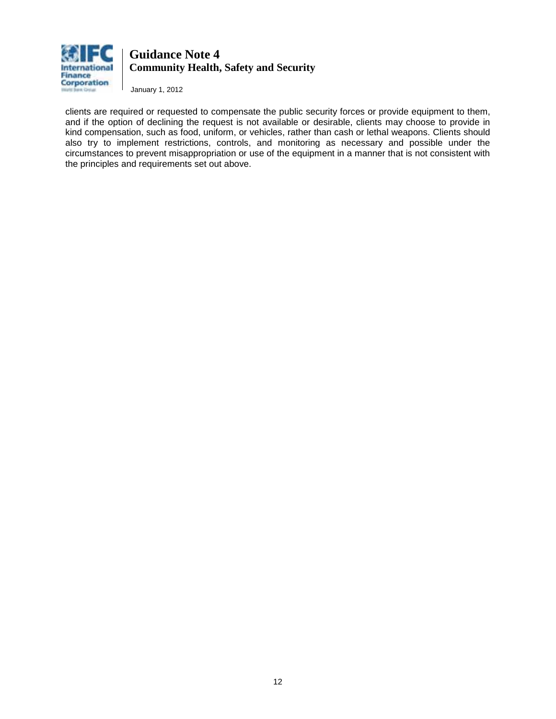

January 1, 2012

clients are required or requested to compensate the public security forces or provide equipment to them, and if the option of declining the request is not available or desirable, clients may choose to provide in kind compensation, such as food, uniform, or vehicles, rather than cash or lethal weapons. Clients should also try to implement restrictions, controls, and monitoring as necessary and possible under the circumstances to prevent misappropriation or use of the equipment in a manner that is not consistent with the principles and requirements set out above.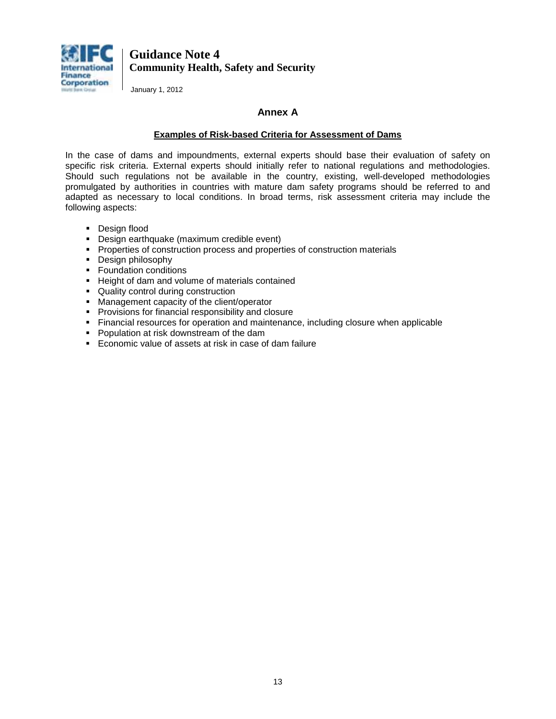

January 1, 2012

### **Annex A**

#### **Examples of Risk-based Criteria for Assessment of Dams**

In the case of dams and impoundments, external experts should base their evaluation of safety on specific risk criteria. External experts should initially refer to national regulations and methodologies. Should such regulations not be available in the country, existing, well-developed methodologies promulgated by authorities in countries with mature dam safety programs should be referred to and adapted as necessary to local conditions. In broad terms, risk assessment criteria may include the following aspects:

- **-** Design flood
- **-** Design earthquake (maximum credible event)
- **Properties of construction process and properties of construction materials**
- **Design philosophy**
- **Foundation conditions**
- **Height of dam and volume of materials contained**
- Quality control during construction
- **Management capacity of the client/operator**
- **Provisions for financial responsibility and closure**
- Financial resources for operation and maintenance, including closure when applicable
- **Population at risk downstream of the dam**
- Economic value of assets at risk in case of dam failure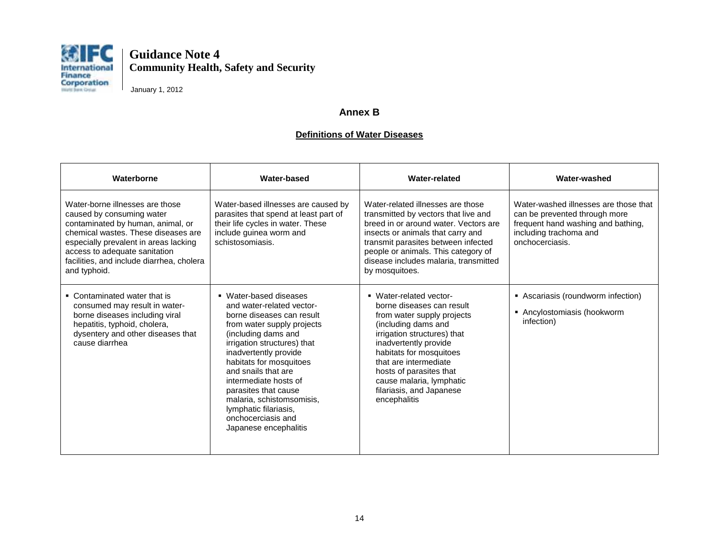

January 1, 2012

### **Annex B**

### **Definitions of Water Diseases**

| Waterborne                                                                                                                                                                                                                                                                      | Water-based                                                                                                                                                                                                                                                                                                                                                                                           | Water-related                                                                                                                                                                                                                                                                                                            | Water-washed                                                                                                                                              |
|---------------------------------------------------------------------------------------------------------------------------------------------------------------------------------------------------------------------------------------------------------------------------------|-------------------------------------------------------------------------------------------------------------------------------------------------------------------------------------------------------------------------------------------------------------------------------------------------------------------------------------------------------------------------------------------------------|--------------------------------------------------------------------------------------------------------------------------------------------------------------------------------------------------------------------------------------------------------------------------------------------------------------------------|-----------------------------------------------------------------------------------------------------------------------------------------------------------|
| Water-borne illnesses are those<br>caused by consuming water<br>contaminated by human, animal, or<br>chemical wastes. These diseases are<br>especially prevalent in areas lacking<br>access to adequate sanitation<br>facilities, and include diarrhea, cholera<br>and typhoid. | Water-based illnesses are caused by<br>parasites that spend at least part of<br>their life cycles in water. These<br>include guinea worm and<br>schistosomiasis.                                                                                                                                                                                                                                      | Water-related illnesses are those<br>transmitted by vectors that live and<br>breed in or around water. Vectors are<br>insects or animals that carry and<br>transmit parasites between infected<br>people or animals. This category of<br>disease includes malaria, transmitted<br>by mosquitoes.                         | Water-washed illnesses are those that<br>can be prevented through more<br>frequent hand washing and bathing,<br>including trachoma and<br>onchocerciasis. |
| • Contaminated water that is<br>consumed may result in water-<br>borne diseases including viral<br>hepatitis, typhoid, cholera,<br>dysentery and other diseases that<br>cause diarrhea                                                                                          | ■ Water-based diseases<br>and water-related vector-<br>borne diseases can result<br>from water supply projects<br>(including dams and<br>irrigation structures) that<br>inadvertently provide<br>habitats for mosquitoes<br>and snails that are<br>intermediate hosts of<br>parasites that cause<br>malaria, schistomsomisis,<br>lymphatic filariasis,<br>onchocerciasis and<br>Japanese encephalitis | • Water-related vector-<br>borne diseases can result<br>from water supply projects<br>(including dams and<br>irrigation structures) that<br>inadvertently provide<br>habitats for mosquitoes<br>that are intermediate<br>hosts of parasites that<br>cause malaria, lymphatic<br>filariasis, and Japanese<br>encephalitis | • Ascariasis (roundworm infection)<br>Ancylostomiasis (hookworm<br>infection)                                                                             |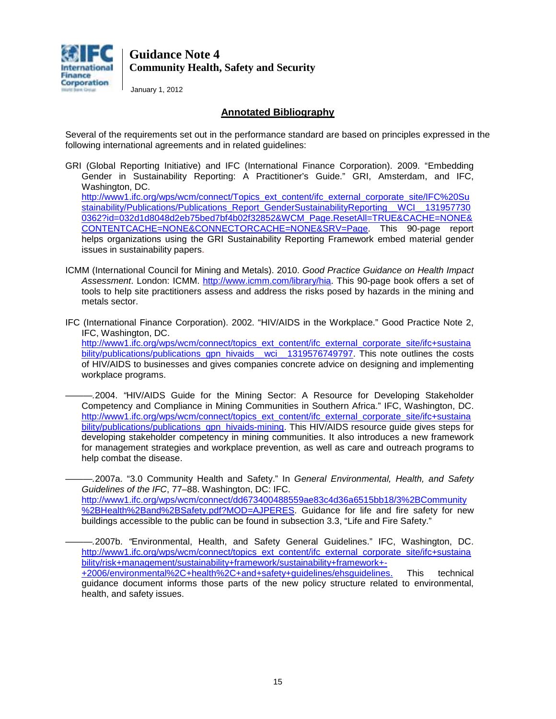

January 1, 2012

### **Annotated Bibliography**

Several of the requirements set out in the performance standard are based on principles expressed in the following international agreements and in related guidelines:

GRI (Global Reporting Initiative) and IFC (International Finance Corporation). 2009. "Embedding Gender in Sustainability Reporting: A Practitioner's Guide." GRI, Amsterdam, and IFC, Washington, DC. [http://www1.ifc.org/wps/wcm/connect/Topics\\_ext\\_content/ifc\\_external\\_corporate\\_site/IFC%20Su](http://www1.ifc.org/wps/wcm/connect/Topics_ext_content/ifc_external_corporate_site/IFC%20Sustainability/Publications/Publications_Report_GenderSustainabilityReporting__WCI__1319577300362?id=032d1d8048d2eb75bed7bf4b02f32852&WCM_Page.ResetAll=TRUE&CACHE=NONE&CONTENTCACHE=NONE&CONNECTORCACHE=NONE&SRV=Page) [stainability/Publications/Publications\\_Report\\_GenderSustainabilityReporting\\_\\_WCI\\_\\_131957730](http://www1.ifc.org/wps/wcm/connect/Topics_ext_content/ifc_external_corporate_site/IFC%20Sustainability/Publications/Publications_Report_GenderSustainabilityReporting__WCI__1319577300362?id=032d1d8048d2eb75bed7bf4b02f32852&WCM_Page.ResetAll=TRUE&CACHE=NONE&CONTENTCACHE=NONE&CONNECTORCACHE=NONE&SRV=Page) [0362?id=032d1d8048d2eb75bed7bf4b02f32852&WCM\\_Page.ResetAll=TRUE&CACHE=NONE&](http://www1.ifc.org/wps/wcm/connect/Topics_ext_content/ifc_external_corporate_site/IFC%20Sustainability/Publications/Publications_Report_GenderSustainabilityReporting__WCI__1319577300362?id=032d1d8048d2eb75bed7bf4b02f32852&WCM_Page.ResetAll=TRUE&CACHE=NONE&CONTENTCACHE=NONE&CONNECTORCACHE=NONE&SRV=Page) [CONTENTCACHE=NONE&CONNECTORCACHE=NONE&SRV=Page.](http://www1.ifc.org/wps/wcm/connect/Topics_ext_content/ifc_external_corporate_site/IFC%20Sustainability/Publications/Publications_Report_GenderSustainabilityReporting__WCI__1319577300362?id=032d1d8048d2eb75bed7bf4b02f32852&WCM_Page.ResetAll=TRUE&CACHE=NONE&CONTENTCACHE=NONE&CONNECTORCACHE=NONE&SRV=Page) This 90-page report helps organizations using the GRI Sustainability Reporting Framework embed material gender

issues in sustainability papers.

- ICMM (International Council for Mining and Metals). 2010. *Good Practice Guidance on Health Impact Assessment*. London: ICMM. [http://www.icmm.com/library/hia.](http://www.icmm.com/library/hia) This 90-page book offers a set of tools to help site practitioners assess and address the risks posed by hazards in the mining and metals sector.
- IFC (International Finance Corporation). 2002. "HIV/AIDS in the Workplace." Good Practice Note 2, IFC, Washington, DC. [http://www1.ifc.org/wps/wcm/connect/topics\\_ext\\_content/ifc\\_external\\_corporate\\_site/ifc+sustaina](http://www1.ifc.org/wps/wcm/connect/topics_ext_content/ifc_external_corporate_site/ifc+sustainability/publications/publications_gpn_hivaids__wci__1319576749797)

bility/publications/publications\_gpn\_hivaids\_wci\_\_1319576749797. This note outlines the costs of HIV/AIDS to businesses and gives companies concrete advice on designing and implementing workplace programs.

*———.*2004. *"*HIV/AIDS Guide for the Mining Sector: A Resource for Developing Stakeholder Competency and Compliance in Mining Communities in Southern Africa." IFC, Washington, DC. [http://www1.ifc.org/wps/wcm/connect/topics\\_ext\\_content/ifc\\_external\\_corporate\\_site/ifc+sustaina](http://www1.ifc.org/wps/wcm/connect/topics_ext_content/ifc_external_corporate_site/ifc+sustainability/publications/publications_gpn_hivaids-mining) [bility/publications/publications\\_gpn\\_hivaids-mining.](http://www1.ifc.org/wps/wcm/connect/topics_ext_content/ifc_external_corporate_site/ifc+sustainability/publications/publications_gpn_hivaids-mining) This HIV/AIDS resource guide gives steps for developing stakeholder competency in mining communities. It also introduces a new framework for management strategies and workplace prevention, as well as care and outreach programs to help combat the disease.

*———.*2007a. "3.0 Community Health and Safety." In *General Environmental, Health, and Safety Guidelines of the IFC*, 77–88. Washington, DC: IFC. [http://www1.ifc.org/wps/wcm/connect/dd673400488559ae83c4d36a6515bb18/3%2BCommunity](http://www1.ifc.org/wps/wcm/connect/dd673400488559ae83c4d36a6515bb18/3%2BCommunity%2BHealth%2Band%2BSafety.pdf?MOD=AJPERES) [%2BHealth%2Band%2BSafety.pdf?MOD=AJPERES.](http://www1.ifc.org/wps/wcm/connect/dd673400488559ae83c4d36a6515bb18/3%2BCommunity%2BHealth%2Band%2BSafety.pdf?MOD=AJPERES) Guidance for life and fire safety for new buildings accessible to the public can be found in subsection 3.3, "Life and Fire Safety."

*———.*2007b. *"*Environmental, Health, and Safety General Guidelines." IFC, Washington, DC. [http://www1.ifc.org/wps/wcm/connect/topics\\_ext\\_content/ifc\\_external\\_corporate\\_site/ifc+sustaina](http://www1.ifc.org/wps/wcm/connect/topics_ext_content/ifc_external_corporate_site/ifc+sustainability/risk+management/sustainability+framework/sustainability+framework+-+2006/environmental%2C+health%2C+and+safety+guidelines/ehsguidelines) [bility/risk+management/sustainability+framework/sustainability+framework+-](http://www1.ifc.org/wps/wcm/connect/topics_ext_content/ifc_external_corporate_site/ifc+sustainability/risk+management/sustainability+framework/sustainability+framework+-+2006/environmental%2C+health%2C+and+safety+guidelines/ehsguidelines) [+2006/environmental%2C+health%2C+and+safety+guidelines/ehsguidelines.](http://www1.ifc.org/wps/wcm/connect/topics_ext_content/ifc_external_corporate_site/ifc+sustainability/risk+management/sustainability+framework/sustainability+framework+-+2006/environmental%2C+health%2C+and+safety+guidelines/ehsguidelines) This technical guidance document informs those parts of the new policy structure related to environmental, health, and safety issues.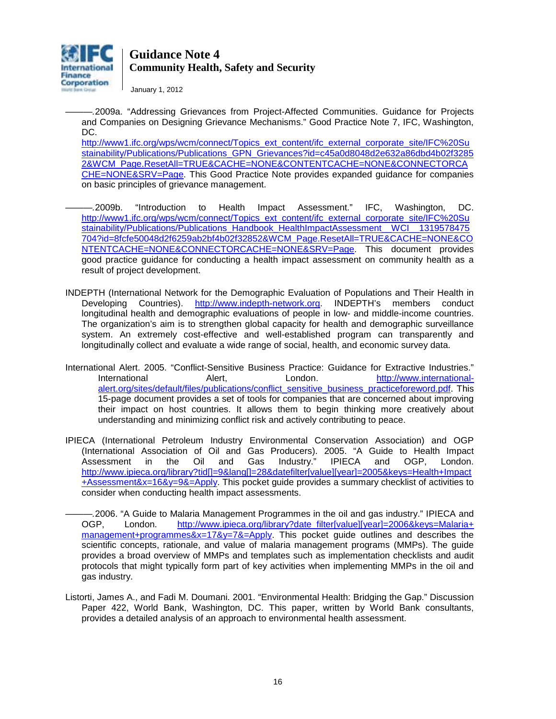

January 1, 2012

*———.*2009a. "Addressing Grievances from Project-Affected Communities. Guidance for Projects and Companies on Designing Grievance Mechanisms." Good Practice Note 7, IFC, Washington, DC.

[http://www1.ifc.org/wps/wcm/connect/Topics\\_ext\\_content/ifc\\_external\\_corporate\\_site/IFC%20Su](http://www1.ifc.org/wps/wcm/connect/Topics_ext_content/ifc_external_corporate_site/IFC%20Sustainability/Publications/Publications_GPN_Grievances?id=c45a0d8048d2e632a86dbd4b02f32852&WCM_Page.ResetAll=TRUE&CACHE=NONE&CONTENTCACHE=NONE&CONNECTORCACHE=NONE&SRV=Page) [stainability/Publications/Publications\\_GPN\\_Grievances?id=c45a0d8048d2e632a86dbd4b02f3285](http://www1.ifc.org/wps/wcm/connect/Topics_ext_content/ifc_external_corporate_site/IFC%20Sustainability/Publications/Publications_GPN_Grievances?id=c45a0d8048d2e632a86dbd4b02f32852&WCM_Page.ResetAll=TRUE&CACHE=NONE&CONTENTCACHE=NONE&CONNECTORCACHE=NONE&SRV=Page) [2&WCM\\_Page.ResetAll=TRUE&CACHE=NONE&CONTENTCACHE=NONE&CONNECTORCA](http://www1.ifc.org/wps/wcm/connect/Topics_ext_content/ifc_external_corporate_site/IFC%20Sustainability/Publications/Publications_GPN_Grievances?id=c45a0d8048d2e632a86dbd4b02f32852&WCM_Page.ResetAll=TRUE&CACHE=NONE&CONTENTCACHE=NONE&CONNECTORCACHE=NONE&SRV=Page) [CHE=NONE&SRV=Page.](http://www1.ifc.org/wps/wcm/connect/Topics_ext_content/ifc_external_corporate_site/IFC%20Sustainability/Publications/Publications_GPN_Grievances?id=c45a0d8048d2e632a86dbd4b02f32852&WCM_Page.ResetAll=TRUE&CACHE=NONE&CONTENTCACHE=NONE&CONNECTORCACHE=NONE&SRV=Page) This Good Practice Note provides expanded guidance for companies on basic principles of grievance management.

- *———.*2009b. "Introduction to Health Impact Assessment." IFC, Washington, DC. [http://www1.ifc.org/wps/wcm/connect/Topics\\_ext\\_content/ifc\\_external\\_corporate\\_site/IFC%20Su](http://www1.ifc.org/wps/wcm/connect/Topics_ext_content/ifc_external_corporate_site/IFC%20Sustainability/Publications/Publications_Handbook_HealthImpactAssessment__WCI__1319578475704?id=8fcfe50048d2f6259ab2bf4b02f32852&WCM_Page.ResetAll=TRUE&CACHE=NONE&CONTENTCACHE=NONE&CONNECTORCACHE=NONE&SRV=Page) stainability/Publications/Publications\_Handbook\_HealthImpactAssessment\_WCI\_\_1319578475 [704?id=8fcfe50048d2f6259ab2bf4b02f32852&WCM\\_Page.ResetAll=TRUE&CACHE=NONE&CO](http://www1.ifc.org/wps/wcm/connect/Topics_ext_content/ifc_external_corporate_site/IFC%20Sustainability/Publications/Publications_Handbook_HealthImpactAssessment__WCI__1319578475704?id=8fcfe50048d2f6259ab2bf4b02f32852&WCM_Page.ResetAll=TRUE&CACHE=NONE&CONTENTCACHE=NONE&CONNECTORCACHE=NONE&SRV=Page) [NTENTCACHE=NONE&CONNECTORCACHE=NONE&SRV=Page.](http://www1.ifc.org/wps/wcm/connect/Topics_ext_content/ifc_external_corporate_site/IFC%20Sustainability/Publications/Publications_Handbook_HealthImpactAssessment__WCI__1319578475704?id=8fcfe50048d2f6259ab2bf4b02f32852&WCM_Page.ResetAll=TRUE&CACHE=NONE&CONTENTCACHE=NONE&CONNECTORCACHE=NONE&SRV=Page) This document provides good practice guidance for conducting a health impact assessment on community health as a result of project development.
- INDEPTH (International Network for the Demographic Evaluation of Populations and Their Health in Developing Countries). [http://www.indepth-network.org.](http://www.indepth-network.org/) INDEPTH's members conduct longitudinal health and demographic evaluations of people in low- and middle-income countries. The organization's aim is to strengthen global capacity for health and demographic surveillance system. An extremely cost-effective and well-established program can transparently and longitudinally collect and evaluate a wide range of social, health, and economic survey data.
- International Alert. 2005. "Conflict-Sensitive Business Practice: Guidance for Extractive Industries." International **Alert, Condon.** [http://www.international](http://www.international-alert.org/sites/default/files/publications/conflict_sensitive_business_practice_foreword.pdf)[alert.org/sites/default/files/publications/conflict\\_sensitive\\_business\\_practiceforeword.pdf.](http://www.international-alert.org/sites/default/files/publications/conflict_sensitive_business_practice_foreword.pdf) This 15-page document provides a set of tools for companies that are concerned about improving their impact on host countries. It allows them to begin thinking more creatively about understanding and minimizing conflict risk and actively contributing to peace.
- IPIECA (International Petroleum Industry Environmental Conservation Association) and OGP (International Association of Oil and Gas Producers). 2005. "A Guide to Health Impact Assessment in the Oil and Gas Industry." IPIECA and OGP, London. [http://www.ipieca.org/library?tid\[\]=9&lang\[\]=28&datefilter\[value\]\[year\]=2005&keys=Health+Impact](http://www.ipieca.org/library?tid%5b%5d=9&lang%5b%5d=28&datefilter%5bvalue%5d%5byear%5d=2005&keys=Health+Impact+Assessment&x=16&y=9&=Apply) [+Assessment&x=16&y=9&=Apply.](http://www.ipieca.org/library?tid%5b%5d=9&lang%5b%5d=28&datefilter%5bvalue%5d%5byear%5d=2005&keys=Health+Impact+Assessment&x=16&y=9&=Apply) This pocket guide provides a summary checklist of activities to consider when conducting health impact assessments.
	- *———.*2006. "A Guide to Malaria Management Programmes in the oil and gas industry." IPIECA and OGP, London. [http://www.ipieca.org/library?date\\_filter\[value\]\[year\]=2006&keys=Malaria+](http://www.ipieca.org/library?date_filter%5bvalue%5d%5byear%5d=2006&keys=Malaria+%20management+programmes&x=17&y=7&=Apply)  [management+programmes&x=17&y=7&=Apply.](http://www.ipieca.org/library?date_filter%5bvalue%5d%5byear%5d=2006&keys=Malaria+%20management+programmes&x=17&y=7&=Apply) This pocket guide outlines and describes the scientific concepts, rationale, and value of malaria management programs (MMPs). The guide provides a broad overview of MMPs and templates such as implementation checklists and audit protocols that might typically form part of key activities when implementing MMPs in the oil and gas industry.
- Listorti, James A., and Fadi M. Doumani. 2001. "Environmental Health: Bridging the Gap." Discussion Paper 422, World Bank, Washington, DC. This paper, written by World Bank consultants, provides a detailed analysis of an approach to environmental health assessment.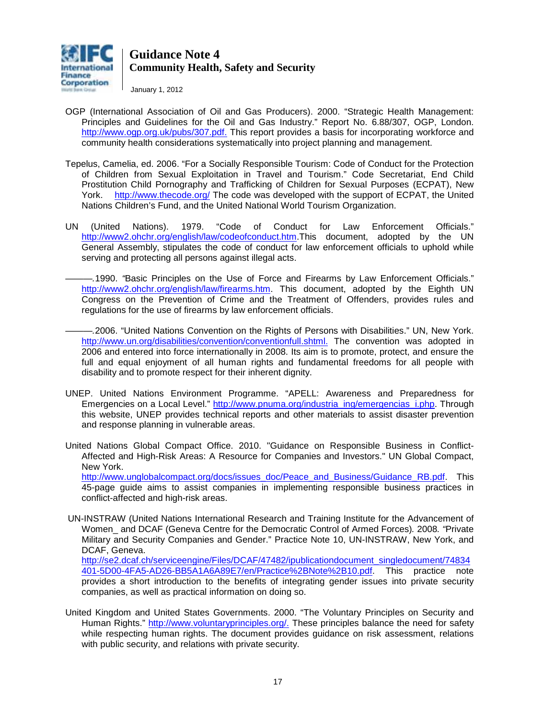

January 1, 2012

- OGP (International Association of Oil and Gas Producers). 2000. "Strategic Health Management: Principles and Guidelines for the Oil and Gas Industry." Report No. 6.88/307, OGP, London. [http://www.ogp.org.uk/pubs/307.pdf.](http://www.ogp.org.uk/pubs/307.pdf) This report provides a basis for incorporating workforce and community health considerations systematically into project planning and management.
- Tepelus, Camelia, ed. 2006. "For a Socially Responsible Tourism: Code of Conduct for the Protection of Children from Sexual Exploitation in Travel and Tourism." Code Secretariat, End Child Prostitution Child Pornography and Trafficking of Children for Sexual Purposes (ECPAT), New York. <http://www.thecode.org/> The code was developed with the support of ECPAT, the United Nations Children's Fund, and the United National World Tourism Organization.
- UN (United Nations). 1979. "Code of Conduct for Law Enforcement Officials." [http://www2.ohchr.org/english/law/codeofconduct.htm.](http://www2.ohchr.org/english/law/codeofconduct.htm)This document, adopted by the UN General Assembly, stipulates the code of conduct for law enforcement officials to uphold while serving and protecting all persons against illegal acts.
	- *———.*1990. *"*Basic Principles on the Use of Force and Firearms by Law Enforcement Officials." [http://www2.ohchr.org/english/law/firearms.htm.](http://www2.ohchr.org/english/law/firearms.htm) This document, adopted by the Eighth UN Congress on the Prevention of Crime and the Treatment of Offenders, provides rules and regulations for the use of firearms by law enforcement officials.
	- *———.*2006. "United Nations Convention on the Rights of Persons with Disabilities." UN, New York. [http://www.un.org/disabilities/convention/conventionfull.shtml.](http://www.un.org/disabilities/convention/conventionfull.shtml) The convention was adopted in 2006 and entered into force internationally in 2008. Its aim is to promote, protect, and ensure the full and equal enjoyment of all human rights and fundamental freedoms for all people with disability and to promote respect for their inherent dignity.
- UNEP. United Nations Environment Programme. "APELL: Awareness and Preparedness for Emergencies on a Local Level." [http://www.pnuma.org/industria\\_ing/emergencias\\_i.php.](http://www.pnuma.org/industria_ing/emergencias_i.php) Through this website, UNEP provides technical reports and other materials to assist disaster prevention and response planning in vulnerable areas.
- United Nations Global Compact Office. 2010. "Guidance on Responsible Business in Conflict-Affected and High-Risk Areas: A Resource for Companies and Investors." UN Global Compact, New York. [http://www.unglobalcompact.org/docs/issues\\_doc/Peace\\_and\\_Business/Guidance\\_RB.pdf.](http://www.unglobalcompact.org/docs/issues_doc/Peace_and_Business/Guidance_RB.pdf) This

45-page guide aims to assist companies in implementing responsible business practices in conflict-affected and high-risk areas.

UN-INSTRAW (United Nations International Research and Training Institute for the Advancement of Women\_ and DCAF (Geneva Centre for the Democratic Control of Armed Forces)*.* 2008*. "*Private Military and Security Companies and Gender." Practice Note 10, UN-INSTRAW, New York, and DCAF, Geneva.

[http://se2.dcaf.ch/serviceengine/Files/DCAF/47482/ipublicationdocument\\_singledocument/74834](http://se2.dcaf.ch/serviceengine/Files/DCAF/47482/ipublicationdocument_singledocument/74834401-5D00-4FA5-AD26-BB5A1A6A89E7/en/Practice%2BNote%2B10.pdf) [401-5D00-4FA5-AD26-BB5A1A6A89E7/en/Practice%2BNote%2B10.pdf.](http://se2.dcaf.ch/serviceengine/Files/DCAF/47482/ipublicationdocument_singledocument/74834401-5D00-4FA5-AD26-BB5A1A6A89E7/en/Practice%2BNote%2B10.pdf) This practice note provides a short introduction to the benefits of integrating gender issues into private security companies, as well as practical information on doing so.

United Kingdom and United States Governments. 2000. "The Voluntary Principles on Security and Human Rights." [http://www.voluntaryprinciples.org/.](http://www.voluntaryprinciples.org/) These principles balance the need for safety while respecting human rights. The document provides guidance on risk assessment, relations with public security, and relations with private security.